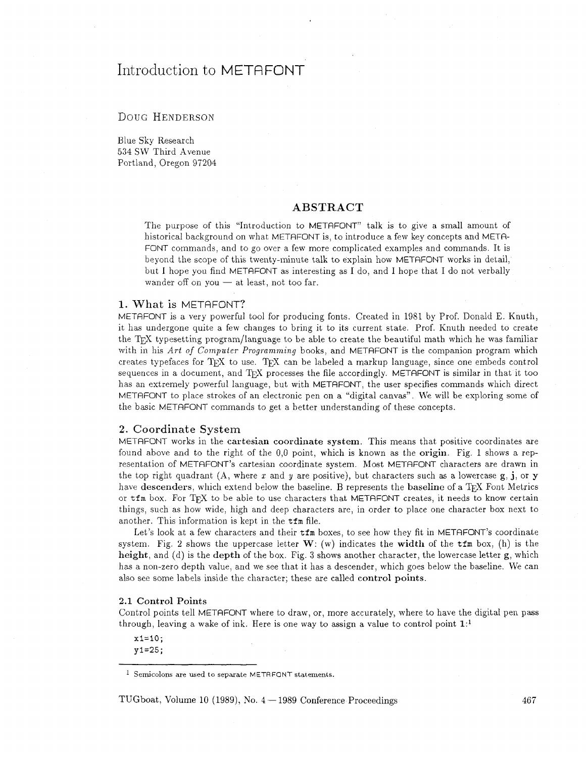# Introduction to METRFONT

## DOUG HENDERSON

Blue Sky Research 534 SW Third Avenue Portland, Oregon 97204

# **ABSTRACT**

The purpose of this "Introduction to METRFONT" talk is to give a small amount of historical background on what METAFONT is, to introduce a few key concepts and META-FONT commands, and to go over a few more complicated examples and commands. It is beyond the scope of this twenty-minute talk to explain how METRFONT works in detail, beyond the scope of this twenty-nimitie tank to explain how METRFONT works in detail,<br>but I hope you find METRFONT as interesting as I do, and I hope that I do not verbally<br>wander off on you — at least, not too far.

#### 1. What is METAFONT?

METRFONT is a very powerful tool for producing fonts. Created in 1081 by Prof. Donald E. Knuth, it has undergone quite a few changes to bring it to its current state. Prof. Knuth needed to create the  $T_{\rm F}X$  typesetting program/language to be able to create the beautiful math which he was familiar with in his *Art of Computer Programming* books, and METAFONT is the companion program which creates typefaces for TFX to use. TFX can be labeled a markup language, since one embeds control sequences in a document, and  $T_{FX}$  processes the file accordingly. METAFONT is similar in that it too has an extremely powerful language, but with METAFONT, the user specifies commands which direct METRFONT to place strokes of an electronic pen on a "digital canvas". We will be exploring some of the basic METRFONT commands to get a better understanding of these concepts.

#### **2.** Coordinate System

METRFONT works in the cartesian coordinate system. This means that positive coordinates are found above and to the right of the 0,O point, which is known as the origin. Fig. 1 shows a representation of METAFONT's cartesian coordinate system. Most METAFONT characters are drawn in the top right quadrant  $(A,$  where x and y are positive), but characters such as a lowercase  $g, j, or y$ have descenders, which extend below the baseline. B represents the baseline of a TFX Font Metrics or tfm box. For TEX to be able to use characters that METRFONT creates, it needs to know certain things, such as how wide, high and deep characters are, in order to place one character box next to another. This information is kept in the tfm file.

Let's look at a few characters and their  $t$ fm boxes, to see how they fit in METAFONT's coordinate system. Fig. 2 shows the uppercase letter  $W: (w)$  indicates the width of the tim box, (h) is the height, and (d) is the depth of the box. Fig. **3** shows another character, the lowercase letter g, which has a non-zero depth value, and we see that it has a descender, which goes below the baseline. We can also see some labels inside the character; these are called control points.

#### 2.1 Control Points

Control points tell METAFONT where to draw, or, more accurately, where to have the digital pen pass through, leaving a wake of ink. Here is one way to assign a value to control point **1:l** 

 $x1 = 10$ ;  $y1 = 25;$ 

TUGboat, Volume 10 (1989), No.  $4-1989$  Conference Proceedings

467

 $1$  Semicolons are used to separate METAFONT statements.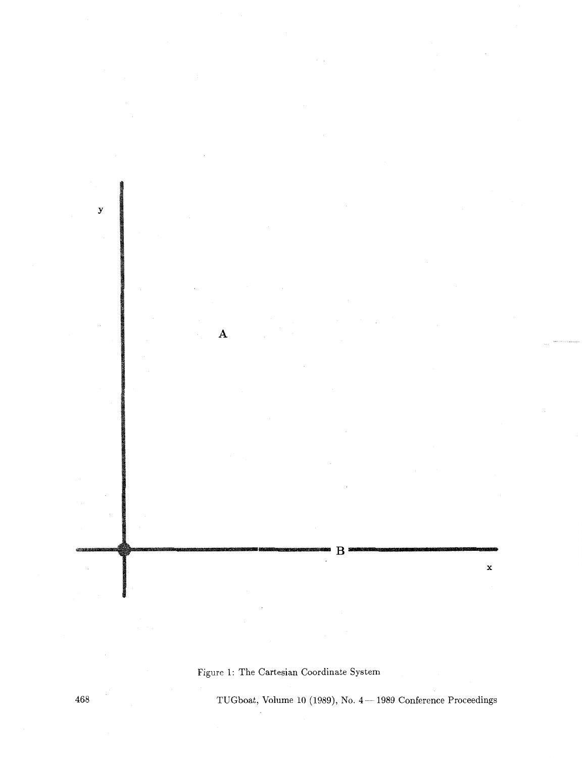$\mathbf y$  $\mathbf{A}$  $B^*$  $\mathbf x$ 

# Figure 1: The Cartesian Coordinate System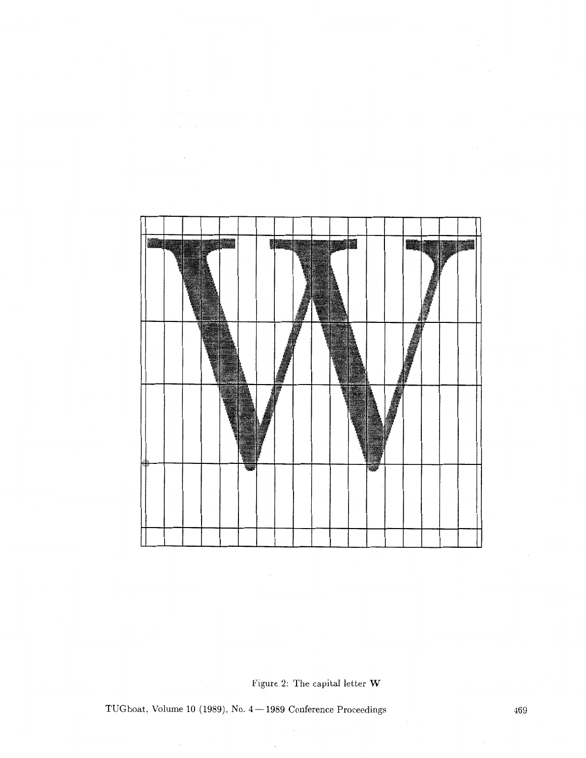

Figure 2: The capital letter W

TUGboat, Volume 10 (1989), No.  $4-1989$  Conference Proceedings

 $\overline{\phantom{a}}$ 

469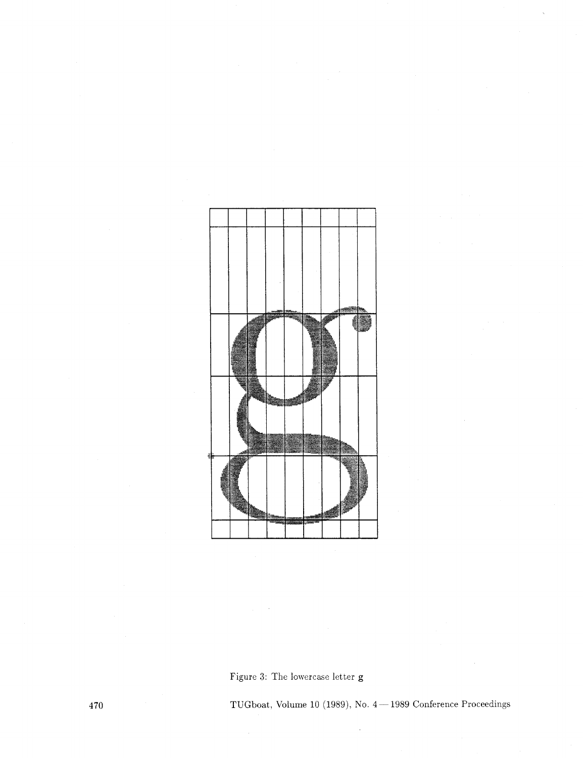

Figure 3: The lowercase letter g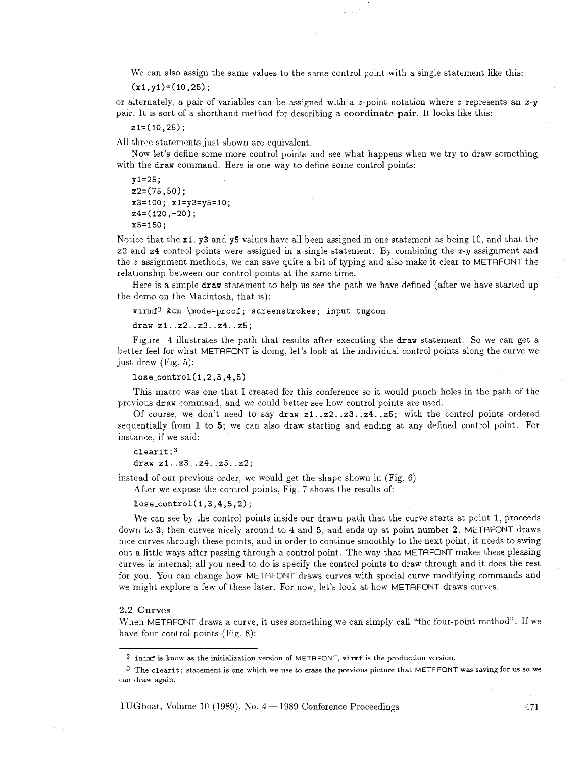We can also assign the same values to the same control point with a single statement like this:

**(xl,y1)=(10,25);** 

or alternately, a pair of variables can be assigned with a z-point notation where z represents an  $x-y$ pair. It is sort of a shorthand method for describing a **coordinate pair.** It looks like this:

**zi=(10,25);** 

All three statements just shown are equivalent.

Now let's define some more control points and see what happens when we try to draw something with the **draw** command. Here is one way to define some control points:

```
y1=25; 
22= (75,50) ; 
x3=100; xi=y3=y5=10; 
24=(120,-20); 
x5=150;
```
Notice that the xi, **y3** and **y5** values have all been assigned in one statement as being 10, and that the **22** and **24** control points were assigned in a single statement. By combining the x-y assignment and the z assignment methods, we can save quite a bit of typing and also make it clear to METAFONT the relationship between our control points at the same time.

Here is a simple **draw** statement to help us see the path we have defined (after we have started up the demo on the Macintosh, that is):

**virmf2 &cm \mode=proof; screenstrokes; input tugcon** 

draw z1..z2..z3..z4..z5;

Figure 4 illustrates the path that results after executing the **draw** statement. So we can get a better feel for what METAFONT is doing, let's look at the individual control points along the curve we just drew (Fig. 5):

**lose-control(l,2,3,4,5)** 

This macro was one that I created for this conference so it would punch holes in the path of the previous **draw** command, and we could better see how control points are used.

Of course, we don't need to say **draw zi** . **.z2. .z3. .z4. .z5;** with the control points ordered sequentially from 1 to 5; we can also draw starting and ending at any defined control point. For instance, if we said:

**clearit** ; draw z1..z3..z4..z5..z2;

instead of our previous order, we would get the shape shown in (Fig. 6)

After we expose the control points, Fig. 7 shows the results of:

 $lose-control(1, 3, 4, 5, 2);$ 

We can see by the control points inside our drawn path that the curve starts at point 1, proceeds down to **3,** then curves nicely around to 4 and 5, and ends up at point number 2. METAFONT draws nice curves through these points, and in order to continue smoothly to the next point, it needs to swing out a little ways after passing through a control point. The way that METAFONT makes these pleasing curves is internal; all you need to do is specify the control points to draw through and it does the rest for you. You can change how METAFONT draws curves with special curve modifying commands and we might explore a few of these later. For now, let's look at how METRFONT draws curves.

# 2.2 Curves

When METAFONT draws a curve, it uses something we can simply call "the four-point method". If we have four control points (Fig. 8):

inimf is how as the initialization version of METRFONT, **virmf** is the production version.

The **clearit** ; statement is one which we use to erase the previous picture that METFI FONT **was** saving for **US** SO we can draw again.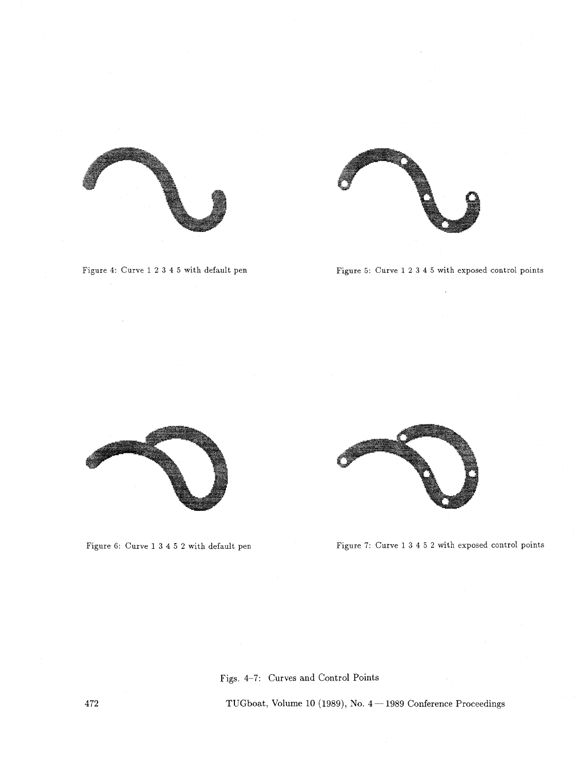

Figure **4:** Curve 1 2 3 4 5 with default pen



Figure 5: Curve 1 <sup>2</sup>**3 4** *5* with exposed control points



Figure 6: Curve 1 3 **4 5** 2 with default pen



Figure 7: Curve 1 3 **4 5** 2 with exposed control points

Figs. 4-7: Curves and Control Points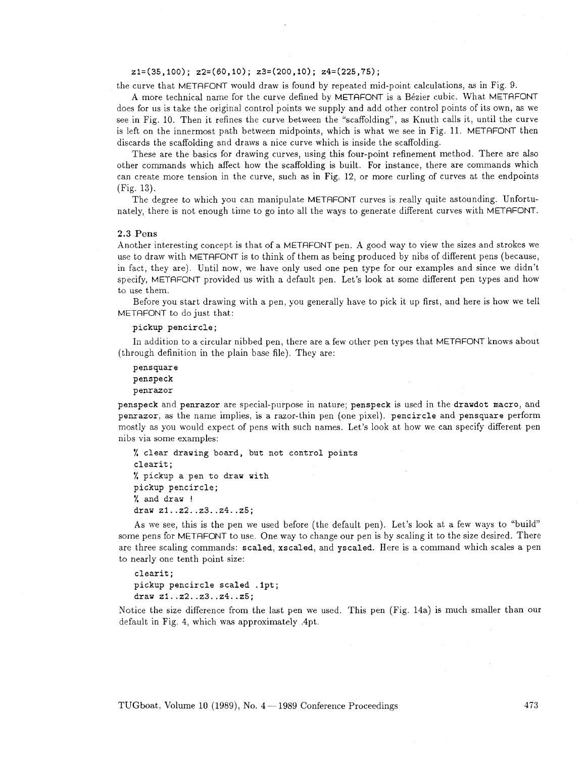$z1=(35,100); z2=(60,10); z3=(200,10); z4=(225,75);$ 

the curve that METRFONT would draw is found by repeated mid-point calculations, as in Fig. 9.

A more technical name for the curve defined by METAFONT is a Bézier cubic. What METAFONT does for us is take the original control points we supply and add other control points of its own, as we see in Fig. 10. Then it refines the curve between the "scaffolding", as Knuth calls it, until the curve is left on the innermost path between midpoints, which is what we see in Fig. 11. METRFONT then discards the scaffolding and draws a nice curve which is inside the scaffolding.

These are the basics for drawing curves, using this four-point refinement method. There are also other commands which affect how the scaffolding is built. For instance, there are commands which can create more tension in the curve, such as in Fig. 12, or more curling of curves at the endpoints (Fig. 13).

The degree to which you can manipulate METRFONT curves is really quite astounding. Unfortunately, there is not enough time to go into all the ways to generate different curves with METAFONT.

#### **2.3** Pens

Another interesting concept is that of a METRFONT pen. A good way to view the sizes and strokes we use to draw with METAFONT is to think of them as being produced by nibs of different pens (because, in fact, they are). Until now, we have only used one pen type for our examples and since we didn't specify, METRFONT provided us with a default pen. Let's look at some different pen types and how to use them.

Before you start drawing with a pen, you generally have to pick it up first, and here is how we tell METAFONT to do just that:

### pickup pencircle;

In addition to a circular nibbed pen, there are a few other pen types that METRFONT knows about (through definition in the plain base file). They are:

pensquare penspeck penrazor

penspeck and penrazor are special-purpose in nature; penspeck is used in the drawdot macro, and penrazor, as the name implies, is a razor-thin pen (one pixel). pencircle and pensquare perform mostly as you would expect of pens with such names. Let's look at how we can specify different pen nibs via some examples:

```
% clear drawing board, but not control points 
clearit ; 
% pickup a pen to draw with 
pickup pencircle; 
% and draw ! 
draw z1..z2..z3..z4..z5;
```
As we see, this is the pen we used before (the default pen). Let's look at a few ways to "build" some pens for METRFONT to use. One way to change our pen is by scaling it to the size desired. There are three scaling commands: scaled, xscaled, and yscaled. Here is a command which scales a pen to nearly one tenth point size:

clearit; pickup pencircle scaled .1pt; draw  $z1..z2..z3..z4..z5;$ 

Notice the size difference from the last pen we used. This pen (Fig. 14a) is much smaller than our default in Fig. 4, which was approximately .4pt.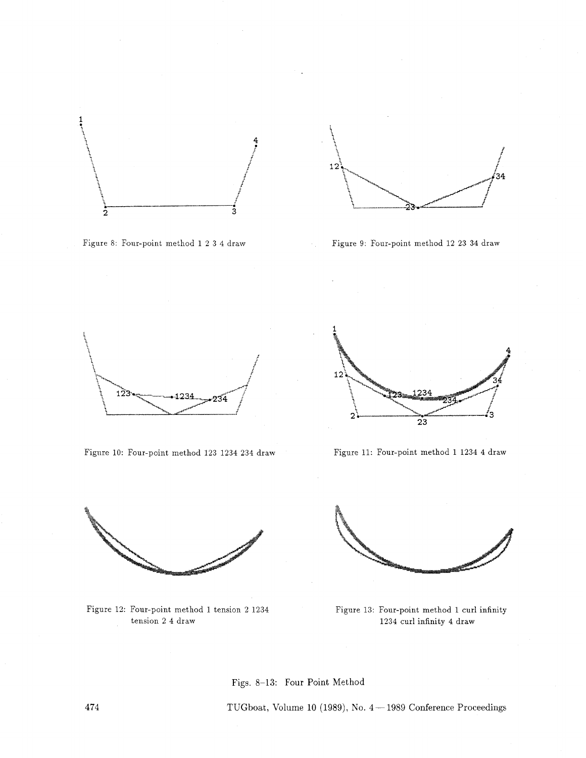

Figure 8: Four-point method **1 2 3 4** draw



Figure 9: Four-point method **12 23 34** draw



Figure **10:** Four-point method **123 1234 234** draw



Figure **11:** Four-point method **1 1234 4** draw



Figure **12:** Four-point method **1** tension **2 1234**  tension **2** 4 draw



Figure **13:** Four-point method **1** curl infinity **1234** curl infinity **4** draw

Figs. 8-13: Four Point Method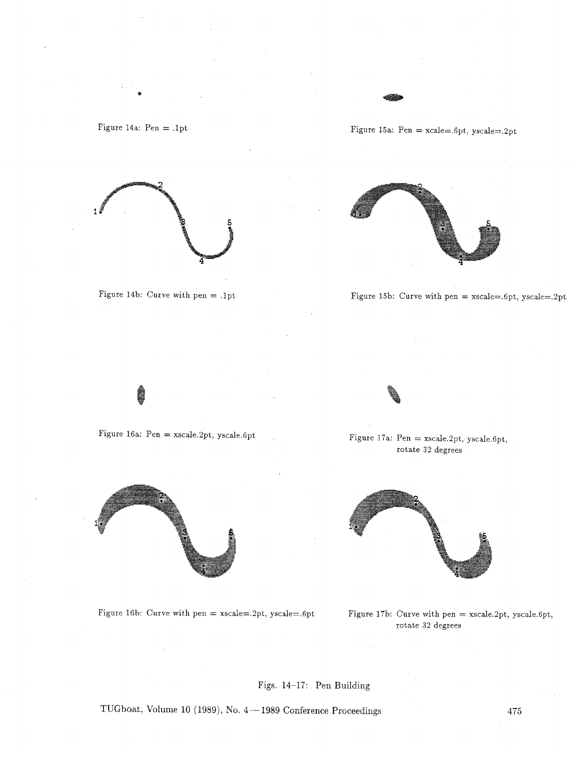

\*









Figure 15b: Curve with pen = xscale=.6pt, yscale=.2pt





Figure 17a: Pen = xscale.2pt, yscale.6pt, rotate 32 degrees



Figure 16b: Curve with pen = xscale=.2pt, yscale=.6pt Figure 17b: Curve with pen = xscale.2pt, yscale.6pt,



rotate 32 degrees

Figs. 14-17: Pen Building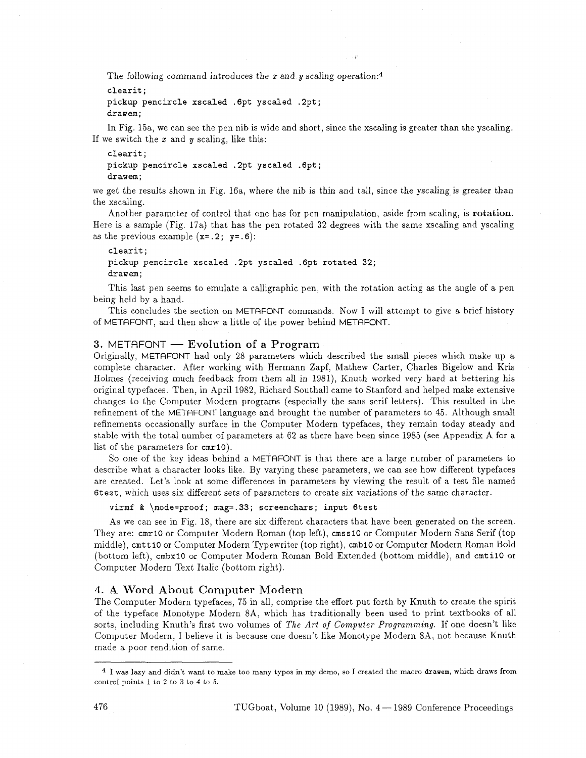The following command introduces the x and y scaling operation:<sup>4</sup>

clearit ;

```
pickup pencircle xscaled .6pt yscaled .2pt; 
drawem;
```
In Fig. 15a, we can see the pen nib is wide and short, since the xscaling is greater than the yscaling. If we switch the  $x$  and  $y$  scaling, like this:

```
clearit; 
pickup pencircle xscaled .2pt yscaled .6pt; 
drawem;
```
we get the results shown in Fig. lGa, where the nib is thin and tall, since the yscaling is greater than the xscaling.

Another parameter of control that one has for pen manipulation, aside from scaling, is rotation. Here is a sample (Fig. 17a) that has the pen rotated 32 degrees with the same xscaling and yscaling as the previous example  $(x= .2; y= .6)$ :

```
clearit ; 
pickup pencircle xscaled .2pt yscaled .6pt rotated 32; 
drawem;
```
This last pen seems to emulate a calligraphic pen, with the rotation acting as the angle of a pen being held by a hand.

This concludes the section on METAFONT commands. Now I will attempt to give a brief history of METAFONT, and then show a little of the power behind METAFONT.<br> **3.** METAFONT — Evolution of a Program<br>
Originally. METAFONT had only 28 parameters which described the si

Originally, METAFONT had only 28 parameters which described the small pieces which make up a complete character. After working with Hermann Zapf, Mathew Carter, Charles Bigelow and Kris Holmes (receiving much feedback from them all in 1981), Knuth worked very hard at bettering his original typefaces. Then, in April 1982, Richard Southall came to Stanford and helped make extensive changes to the Computer Modern programs (especially the sans serif letters). This resulted in the refinement of the METAFONT language and brought the number of parameters to 45. Although small refinements occasionally surface in the Computer Modern typefaces, they remain today steady and stable with the total number of parameters at 62 as there have been since 1985 (see Appendix A for a list of the parameters for cmr10).

So one of the key ideas behind a METAFONT is that there are a large number of parameters to describe what a character looks like. By varying these parameters, we can see how different typefaces are created. Let's look at some differences in parameters by viewing the result of a test file named Gtest, which uses six different sets of parameters to create six variations of the same character.

### virmf & \mode=proof; mag=.33; screenchars; input 6test

As we can see in Fig. 18, there are six different characters that have been generated on the screen. They are: cmr10 or Computer Modern Roman (top left), cmss10 or Computer Modern Sans Serif (top middle), cmttl0 or Computer Modern Typewriter (top right), cmblO or Computer Modern Roman Bold (bottom left), cmbxl0 or Computer Modern Roman Bold Extended (bottom middle), and cmtilO or Computer Modern Test Italic (bottom right).

## 4. A Word About Computer Modern

The Computer Modern typefaces, 75 in all, comprise the effort put forth by Knuth to create the spirit of the typeface Monotype Modern 8A, which has traditionally been used to print textbooks of all sorts, including Knuth's first two volumes of *The Art of Computer Programming.* If one doesn't like Computer Modern, I believe it is because one doesn't like Monotype Modern 8A, not because Knuth made a poor rendition of same.

I was lazy and didn't want to make too many typos in my demo, so I created the macro **drawem,** which draws from control points 1 to 2 to *3* to 4 to 5.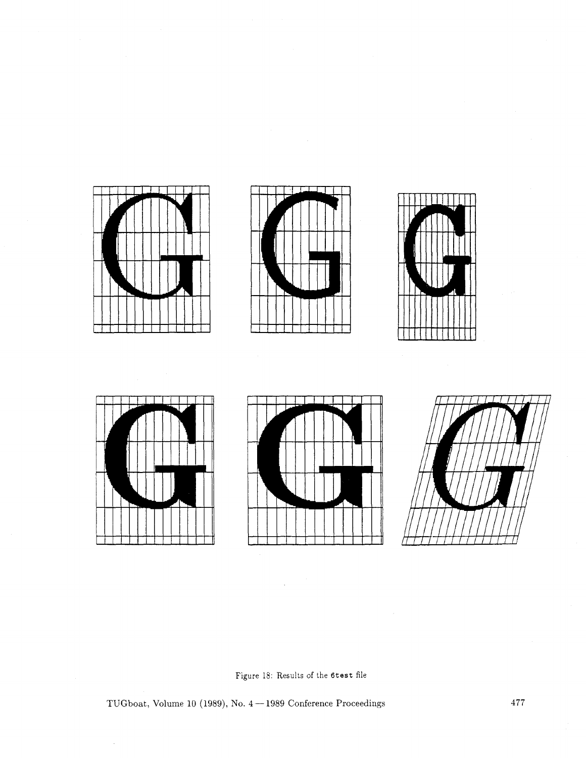











Figure 18: Results of the **6test** file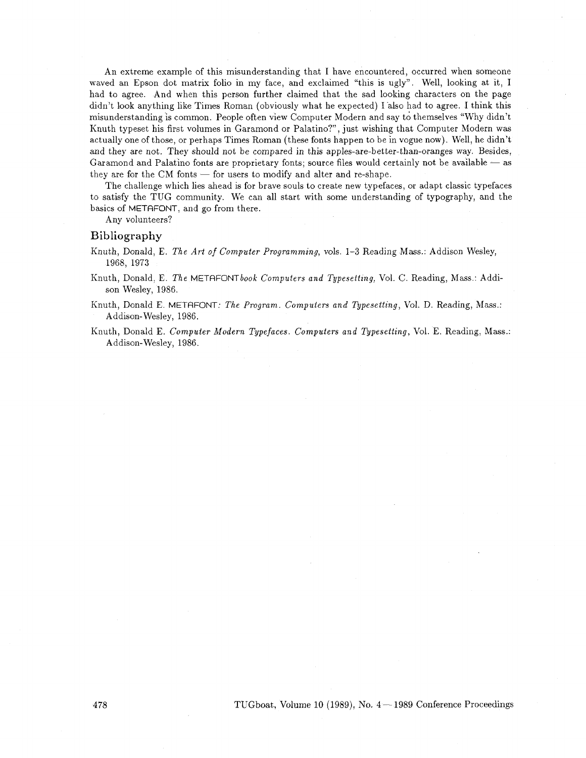An extreme example of this misunderstanding that I have encountered, occurred when someone waved an Epson dot matrix folio in my face, and exclaimed "this is ugly". Well, looking at it, I had to agree. And when this person further claimed that the sad looking characters on the page didn't look anything like Times Roman (obviously what he expected) I'also had to agree. I think this misunderstanding is common. People often view Computer Modern and say to themselves "Why didn't Knuth typeset his first volumes in Garamond or Palatino?", just wishing that Computer Modern was actually one of those, or perhaps Times Roman (these fonts happen to be in vogue now). Well, he didn't and they are not. They should not be compared in this apples-are-better-than-oranges way. Besides, actually one of those, or perhaps 1 lines Roman (these fonts happen to be in vogue how). Well, he didn't<br>and they are not. They should not be compared in this apples-are-better-than-oranges way. Besides,<br>Garamond and Palat and they are flot. They should not be compared in this applies-are-bette.<br>Garamond and Palatino fonts are proprietary fonts; source files would cert<br>hey are for the CM fonts — for users to modify and alter and re-shape.

The challenge which lies ahead is for brave souls to create new typefaces, or adapt classic typefaces to satisfy the TUG community. We can all start with some understanding of typography, and the basics of METRFONT, and go from there.

Any volunteers?

### Bibliography

- Knuth, Donald, E. The Art of Computer Programming, vols. 1-3 Reading Mass.: Addison Wesley, 1968, 1973
- Knuth, Donald, E. The METAFONTbook Computers and Typesetting, Vol. C. Reading, Mass.: Addison Wesley, 1986.

Knuth, Donald E. METAFONT: The Program. Computers and Typesetting, Vol. D. Reading, Mass.: Addison-Wesley, 1986.

Knuth, Donald E. Computer Modern Typefaces. Computers and Typesetting, Vol. E. Reading, Mass.: Addison-Wesley, 1986.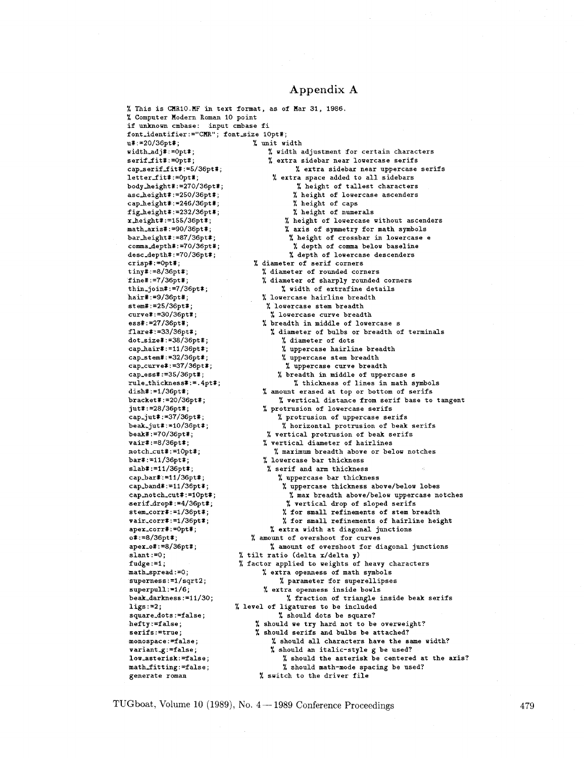# **Appendix A**

% This is CMR10.MF in text format, as of Mar 31, 1986. Computer Hodern Roman 10 point if unknown cmbase: input cmbase fi font\_identifier:="CMR"; font\_size 10pt#; u#.=20/36pt#; width-adj#:=Opt#; seriffit#:=Opt#; cap\_serif\_fit#:=5/36pt#, letter\_fit#:=Opt#; bodyheight#:=270/36pt#; asc\_height#:=250/36pt#;  $cap\_height$  : =246/36pt#;  $fig\_height*: = 232/36pt$ ; xheight# :=155/36pt#; math-axis#: =90/36pt#; bar\_height#:=87/36pt#; commadepth#:=70/36pt#;  $desc_{depth}$ :=70/36pt#; crisp#: =Opt#; tiny#:=8/36pt#; fine#:=7/36pt#; thin\_join#:=7/36pt#; hair#:=9/36pt#; stem#:=25/36pt#; curve#:=30/36pt#; ess#:=27/36pt#; flare#:=33/36pt#;  $dot\_size$ #:=38/36pt#; cap\_hair#: = 11/36pt#; cap-stem#:=32/36pt#; cap\_curve#: =37/36pt#; cap-ess# :=35/36pt#; rule\_thickness#:=.4pt#; dish#:=l/36pt#; bracket#:=20/36pt#; jut#:=28/36pt#; cap-jut#:=37/36pt#;  $beak_jut$  :=10/36pt#; beak#:=70/36pt#; vair# :=8/36pt#; notch-cut# : =1Opt#; bar#:=11/36pt#; slab#:=11/36pt#; cap-bar#:=11/36pt#; cap-band#:=11/36pt#; capnotch~cut#:=l0pt#; serif\_drop#:=4/36pt#; stem\_corr#:=1/36pt#; vair\_corr#:=1/36pt#; apex-corr#:=Opt#; 0#:=8/36pt#; apex-0#:=8/36pt#; slant := 0; fudge :=I; mathspread **:=0;**  superness:=l/sqrt2;  $superpull:=1/6;$ beak-darkness :=11/30; ligs:=2; square\_dots :=false; hefty:=false; serifs:=true; monospace:=false; variant\_g:=false; low-asterisk:=false; math\_fitting:=false; generate roman

% unit width % width adjustment for certain characters % extra sidebar near lowercase serifs % extra sidebar near uppercase serifs % extra space added to all sidebars % height of tallest characters % height of lowercase ascenders % height of caps % height of numerals % height of lowercase without ascenders % axis of symmetry for math symbols % height of crossbar in lowercase e % depth of comma below baseline % depth of lowercase descenders % diameter of serif corners % diameter of rounded corners % diameter of sharply rounded corners '& width of extrafine details % lowercase hairline breadth % lowercase stem breadth % lowercase curve breadth % breadth in middle of lowercase s % diameter of bulbs or breadth of terminals % diameter of dots % uppercase hairline breadth % uppercase stem breadth % uppercase curve breadth % breadth in middle of uppercase s % thickness of lines in math symbols % amount erased at top or bottom of serifs % vertical distance from serif base to tangent % protrusion of lowercase serifs % protrusion of uppercase serifs % horizontal protrusion of beak serifs % vertical protrusion of beak serifs % vertical diameter of hairlines % maximum breadth above or below notches % lowercase bar thickness % serif and arm thickness % uppercase bar thickness % uppercase thickness above/below lobes % mar breadth above/below uppercase notches % vertical drop of sloped serifs % for small refinements of stem breadth % for small refinements of hairline height % extra width at diagonal junctions % amount of overshoot for curves % amount of overshoot for diagonal junctions % tilt ratio (delta x/delta **y)**  % factor applied to weights of heavy characters % extra opemess of math symbols % parameter for superellipses % extra openness inside bowls % fraction of triangle inside beak serifs % level of ligatures to be included % should dots be square? % should we try hard not to be overweight? % should serifs and bulbs be attached? % should all characters have the same width? % should an italic-style g be used? % should the asterisk be centered at the axis? % should math-mode spacing be used? % switch to the driver file